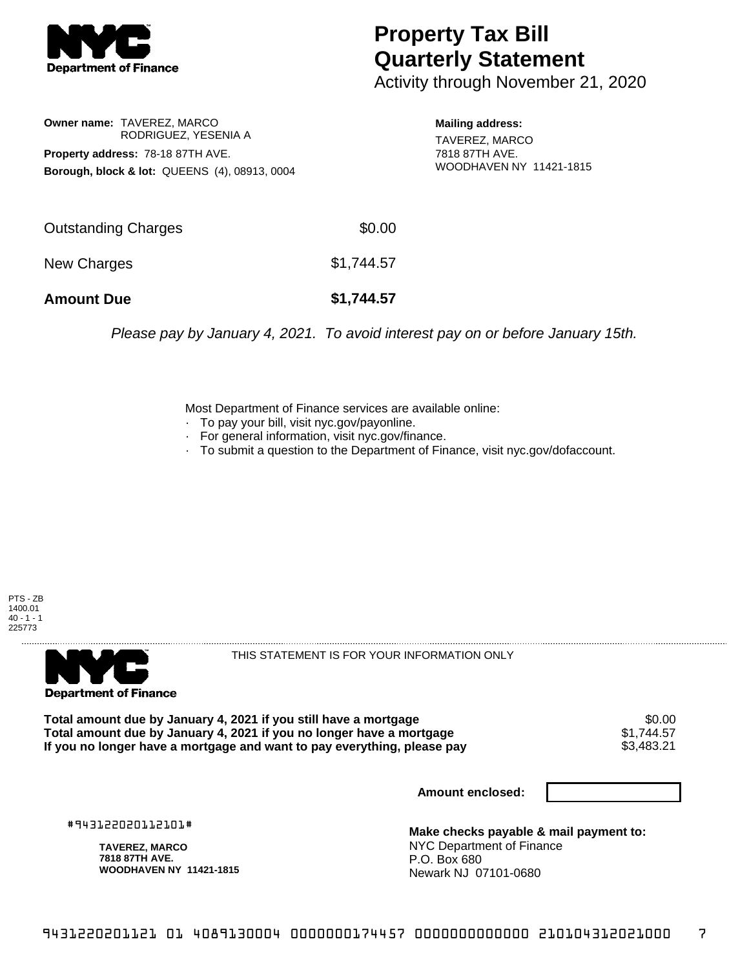

## **Property Tax Bill Quarterly Statement**

Activity through November 21, 2020

**Owner name:** TAVEREZ, MARCO RODRIGUEZ, YESENIA A **Property address:** 78-18 87TH AVE. **Borough, block & lot:** QUEENS (4), 08913, 0004

**Mailing address:** TAVEREZ, MARCO 7818 87TH AVE. WOODHAVEN NY 11421-1815

| <b>Amount Due</b>          | \$1,744.57 |
|----------------------------|------------|
| New Charges                | \$1,744.57 |
| <b>Outstanding Charges</b> | \$0.00     |

Please pay by January 4, 2021. To avoid interest pay on or before January 15th.

Most Department of Finance services are available online:

- · To pay your bill, visit nyc.gov/payonline.
- For general information, visit nyc.gov/finance.
- · To submit a question to the Department of Finance, visit nyc.gov/dofaccount.





THIS STATEMENT IS FOR YOUR INFORMATION ONLY

Total amount due by January 4, 2021 if you still have a mortgage \$0.00<br>Total amount due by January 4, 2021 if you no longer have a mortgage \$1.744.57 **Total amount due by January 4, 2021 if you no longer have a mortgage**  $$1,744.57$$ **<br>If you no longer have a mortgage and want to pay everything, please pay**  $$3,483.21$$ If you no longer have a mortgage and want to pay everything, please pay

**Amount enclosed:**

#943122020112101#

**TAVEREZ, MARCO 7818 87TH AVE. WOODHAVEN NY 11421-1815**

**Make checks payable & mail payment to:** NYC Department of Finance P.O. Box 680 Newark NJ 07101-0680